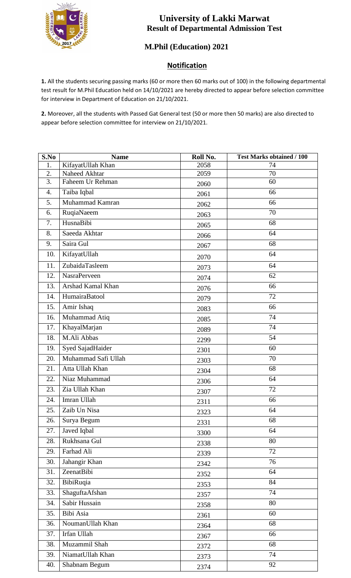

## **University of Lakki Marwat Result of Departmental Admission Test**

## **M.Phil (Education) 2021**

## **Notification**

**1.** All the students securing passing marks (60 or more then 60 marks out of 100) in the following departmental test result for M.Phil Education held on 14/10/2021 are hereby directed to appear before selection committee for interview in Department of Education on 21/10/2021.

**2.** Moreover, all the students with Passed Gat General test (50 or more then 50 marks) are also directed to appear before selection committee for interview on 21/10/2021.

| S.No             | <b>Name</b>         | Roll No. | <b>Test Marks obtained / 100</b> |
|------------------|---------------------|----------|----------------------------------|
| 1.               | KifayatUllah Khan   | 2058     | 74                               |
| 2.               | Naheed Akhtar       | 2059     | 70                               |
| 3.               | Faheem Ur Rehman    | 2060     | 60                               |
| $\overline{4}$ . | Taiba Iqbal         | 2061     | 66                               |
| 5.               | Muhammad Kamran     | 2062     | 66                               |
| 6.               | RuqiaNaeem          | 2063     | 70                               |
| 7.               | HusnaBibi           | 2065     | 68                               |
| 8.               | Saeeda Akhtar       | 2066     | 64                               |
| 9.               | Saira Gul           | 2067     | 68                               |
| 10.              | KifayatUllah        | 2070     | 64                               |
| 11.              | ZubaidaTasleem      | 2073     | 64                               |
| 12.              | <b>NasraPerveen</b> | 2074     | 62                               |
| 13.              | Arshad Kamal Khan   | 2076     | 66                               |
| 14.              | HumairaBatool       | 2079     | 72                               |
| 15.              | Amir Ishaq          | 2083     | 66                               |
| 16.              | Muhammad Atiq       | 2085     | 74                               |
| 17.              | KhayalMarjan        | 2089     | 74                               |
| 18.              | M.Ali Abbas         | 2299     | 54                               |
| 19.              | Syed SajadHaider    | 2301     | 60                               |
| 20.              | Muhammad Safi Ullah | 2303     | 70                               |
| 21.              | Atta Ullah Khan     | 2304     | 68                               |
| 22.              | Niaz Muhammad       | 2306     | 64                               |
| 23.              | Zia Ullah Khan      | 2307     | 72                               |
| 24.              | Imran Ullah         | 2311     | 66                               |
| 25.              | Zaib Un Nisa        | 2323     | 64                               |
| 26.              | Surya Begum         | 2331     | 68                               |
| 27.              | Javed Iqbal         | 3300     | 64                               |
| 28.              | Rukhsana Gul        | 2338     | 80                               |
| 29.              | Farhad Ali          | 2339     | 72                               |
| 30.              | Jahangir Khan       | 2342     | 76                               |
| 31.              | ZeenatBibi          | 2352     | 64                               |
| 32.              | BibiRuqia           | 2353     | 84                               |
| 33.              | ShaguftaAfshan      | 2357     | 74                               |
| 34.              | Sabir Hussain       | 2358     | 80                               |
| 35.              | Bibi Asia           | 2361     | 60                               |
| 36.              | NoumanUllah Khan    | 2364     | 68                               |
| 37.              | Irfan Ullah         | 2367     | 66                               |
| 38.              | Muzammil Shah       | 2372     | 68                               |
| 39.              | NiamatUllah Khan    | 2373     | 74                               |
| 40.              | Shabnam Begum       | 2374     | 92                               |